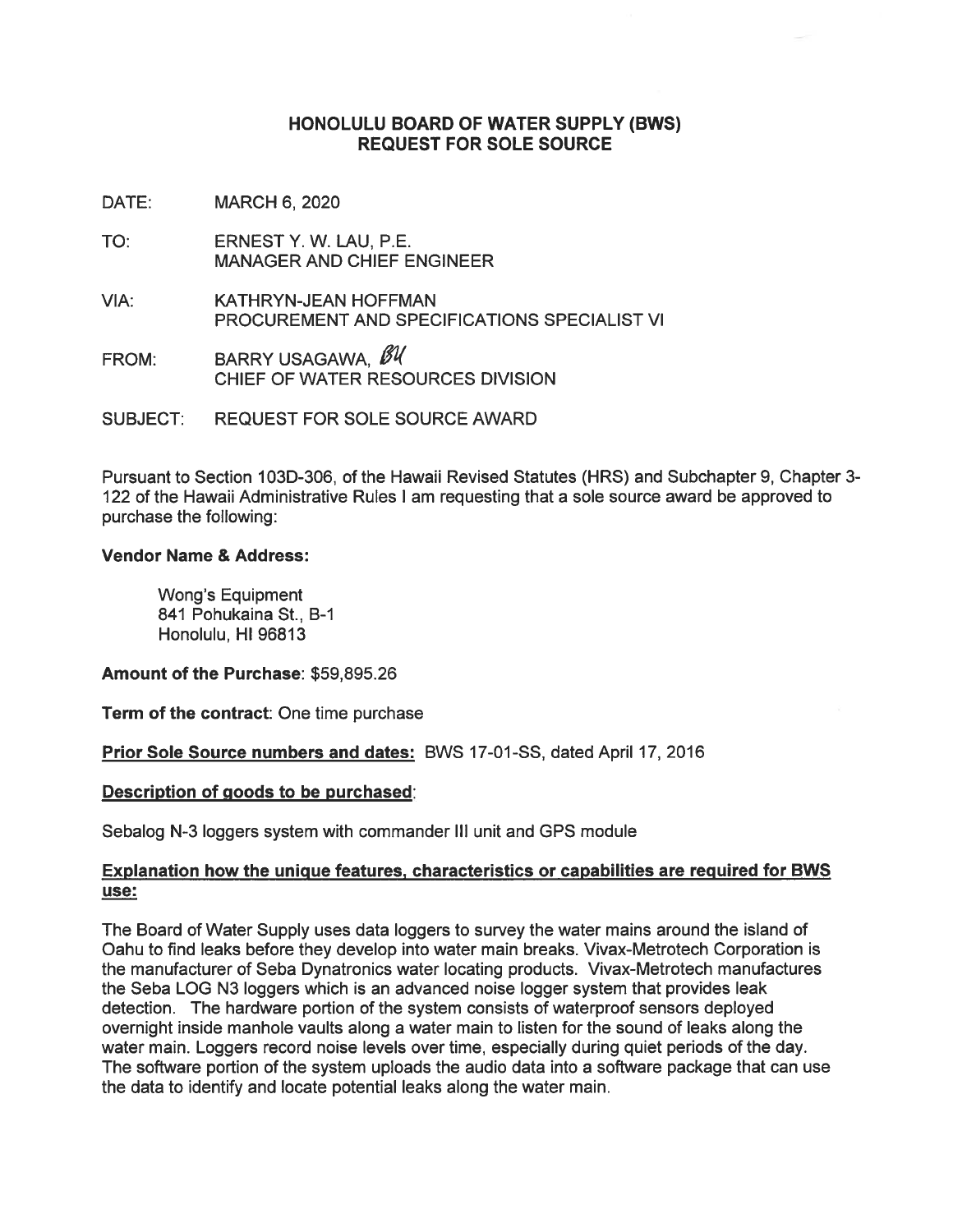#### HONOLULU BOARD OF WATER SUPPLY (BWS) REQUEST FOR SOLE SOURCE

DATE: MARCH 6, 2020

- TO: ERNEST Y. W. LAU, P.E. MANAGER AND CHIEF ENGINEER
- VIA: KATHRYN-JEAN HOFFMAN PROCUREMENT AND SPECIFICATIONS SPECIALIST VI
- FROM: BARRY USAGAWA,  $\cancel{\mathscr{B}}\mathscr{U}$ CHIEF OF WATER RESOURCES DIVISION

SUBJECT: REQUEST FOR SOLE SOURCE AWARD

Pursuant to Section 103D-306, of the Hawaii Revised Statutes (HRS) and Subchapter 9, Chapter 3- 122 of the Hawaii Administrative Rules <sup>I</sup> am requesting that a sole source award be approved to purchase the following:

#### Vendor Name & Address:

Wong's Equipment 841 Pohukaina St., B-i Honolulu, HI 96813

Amount of the Purchase: \$59,895.26

Term of the contract: One time purchase

Prior Sole Source numbers and dates: BWS 17-01-SS, dated April 17, 2016

#### Description of goods to be purchased:

Sebalog N-3 loggers system with commander III unit and GPS module

#### Explanation how the unique features, characteristics or capabilities are required for BWS use:

The Board of Water Supply uses data loggers to survey the water mains around the island of Oahu to find leaks before they develop into water main breaks. Vivax-Metrotech Corporation is the manufacturer of Seba Dynatronics water locating products. Vivax-Metrotech manufactures the Seba LOG N3 loggers which is an advanced noise logger system that provides leak detection. The hardware portion of the system consists of waterproof sensors deployed overnight inside manhole vaults along a water main to listen for the sound of leaks along the water main. Loggers record noise levels over time, especially during quiet periods of the day. The software portion of the system uploads the audio data into a software package that can use the data to identify and locate potential leaks along the water main.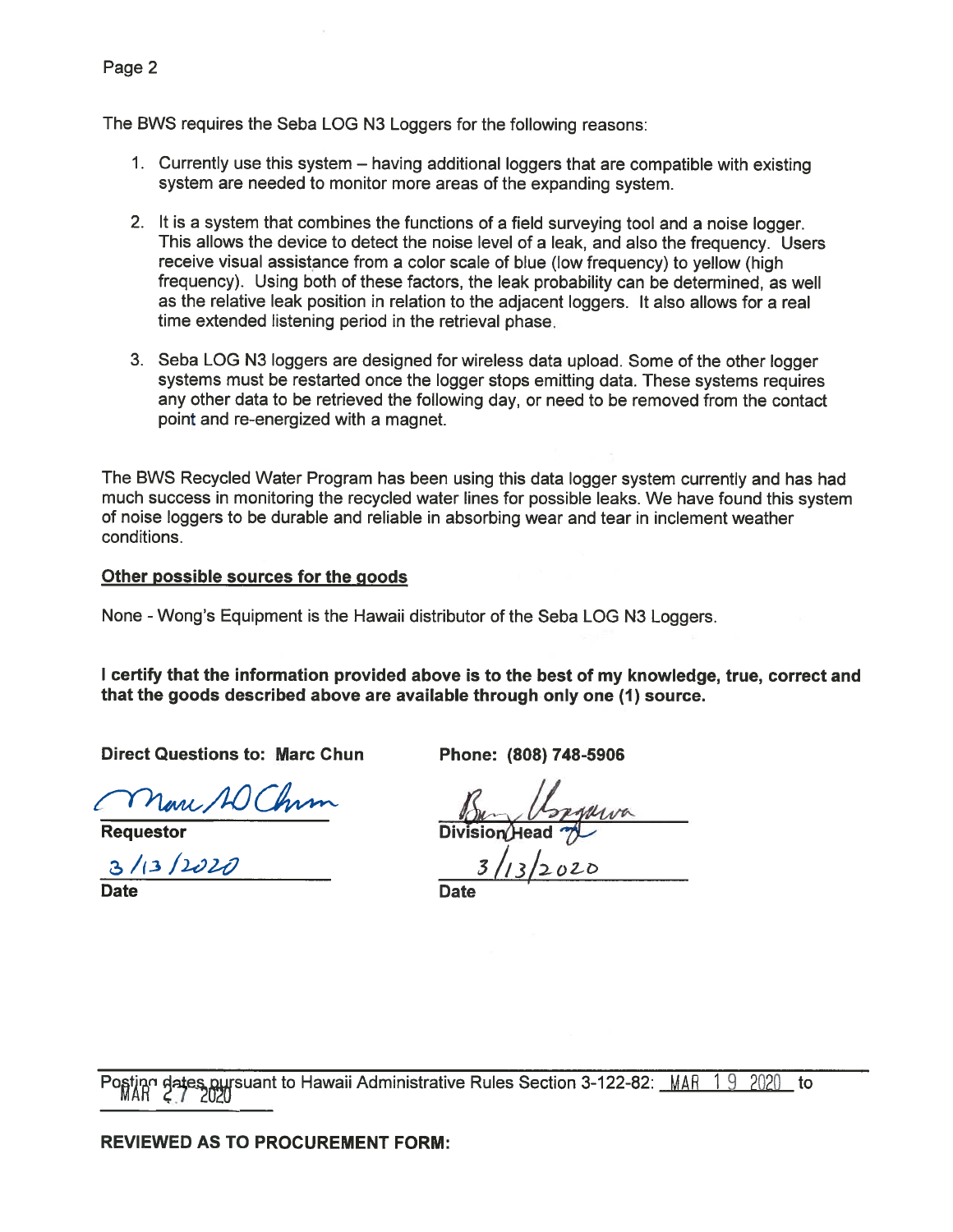The BWS requires the Seba LOG N3 Loggers for the following reasons:

- 1. Currently use this system having additional loggers that are compatible with existing system are needed to monitor more areas of the expanding system.
- 2. It is a system that combines the functions of a field surveying tool and a noise logger. This allows the device to detect the noise level of a leak, and also the frequency. Users receive visual assistance from a color scale of blue (low frequency) to yellow (high frequency). Using both of these factors, the leak probability can be determined, as well as the relative leak position in relation to the adjacent loggers. It also allows for a real time extended listening period in the retrieval phase.
- 3. Seba LOG N3 loggers are designed for wireless data upload. Some of the other logger systems must be restarted once the logger stops emitting data. These systems requires any other data to be retrieved the following day, or need to be removed from the contact point and re-energized with a magnet.

The BWS Recycled Water Program has been using this data logger system currently and has had much success in monitoring the recycled water lines for possible leaks. We have found this system of noise loggers to be durable and reliable in absorbing wear and tear in inclement weather conditions.

## Other possible sources for the goods

None -Wong's Equipment is the Hawaii distributor of the Seba LOG N3 Loggers.

<sup>I</sup> certify that the information provided above is to the best of my knowledge, true, correct and that the goods described above are available through only one (1) source.

Direct Questions to: Marc Chun Phone: (808) 748-5906

Marc AO Chim

 $3/13/1010$ 

Date **Date Date** 

Requestor Division/Head 7

 $3/13/2020$ 

pot dates pursuant to Hawaii Administrative Rules Section 3-122-82: MAR 19 2020 to

#### REVIEWED AS TO PROCUREMENT FORM: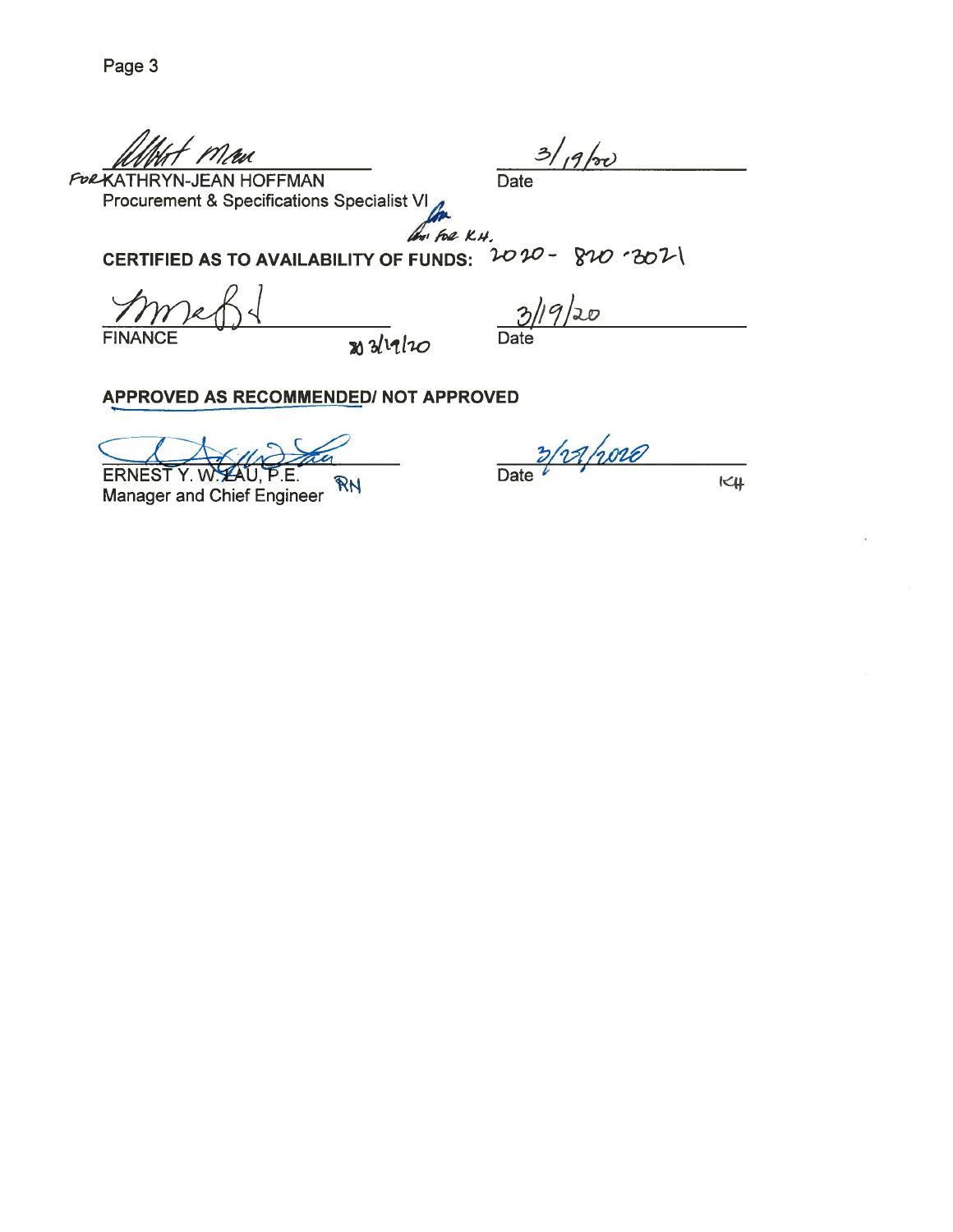Urt man  $\frac{1}{\frac{3}{4}}$ 

Procurement & Specifications Specialist VI

An for K.H.

CERTIFIED AS TO AVAILABILITY OF FUNDS:  $2020 - 820 - 301$ 

 $FINANCE$   $WdlnO$  Date

19/20

APPROVED AS RECOMMENDED/ NOT APPROVED

ERNEST Y. W. LAU, P.E. RN<br>Manager and Chief Engineer RN

Manager and Chief Engineer '

 $K$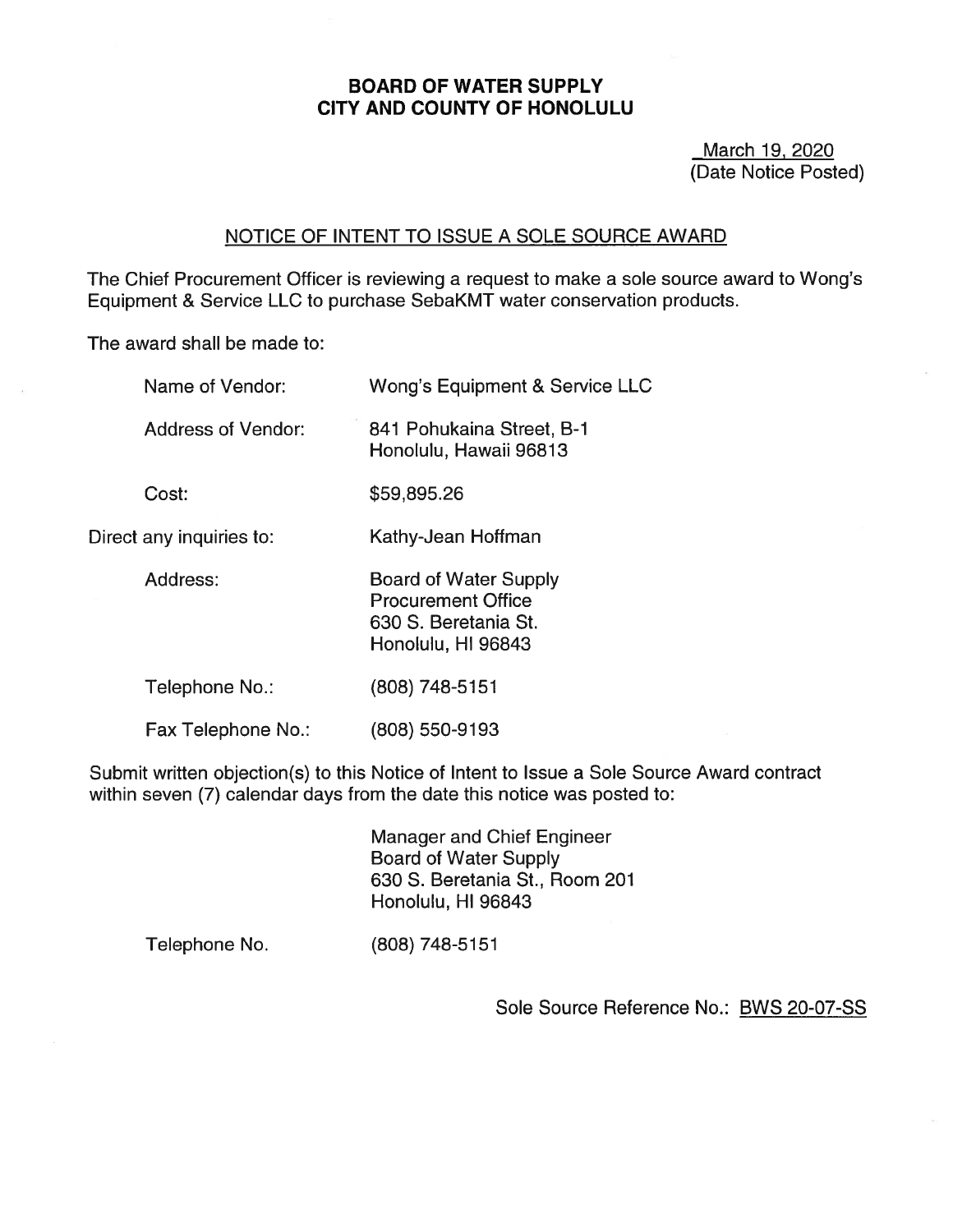### BOARD OF WATER SUPPLY CITY AND COUNTY OF HONOLULU

March 19, 2020 (Date Notice Posted)

### NOTICE OF INTENT TO ISSUE A SOLE SOURCE AWARD

The Chief Procurement Officer is reviewing a request to make a sole source award to Wong's Equipment & Service LLC to purchase SebaKMT water conservation products.

The award shall be made to:

| Name of Vendor:           | Wong's Equipment & Service LLC                                                                          |
|---------------------------|---------------------------------------------------------------------------------------------------------|
| <b>Address of Vendor:</b> | 841 Pohukaina Street, B-1<br>Honolulu, Hawaii 96813                                                     |
| Cost:                     | \$59,895.26                                                                                             |
| Direct any inquiries to:  | Kathy-Jean Hoffman                                                                                      |
| Address:                  | <b>Board of Water Supply</b><br><b>Procurement Office</b><br>630 S. Beretania St.<br>Honolulu, HI 96843 |
| Telephone No.:            | (808) 748-5151                                                                                          |
| Fax Telephone No.:        | (808) 550-9193                                                                                          |

Submit written objection(s) to this Notice of Intent to Issue a Sole Source Award contract within seven (7) calendar days from the date this notice was posted to:

> Manager and Chief Engineer Board of Water Supply 630 S. Beretania St., Room 201 Honolulu, HI 96843

Telephone No. (808) 748-5151

Sole Source Reference No.: BWS 20-07-SS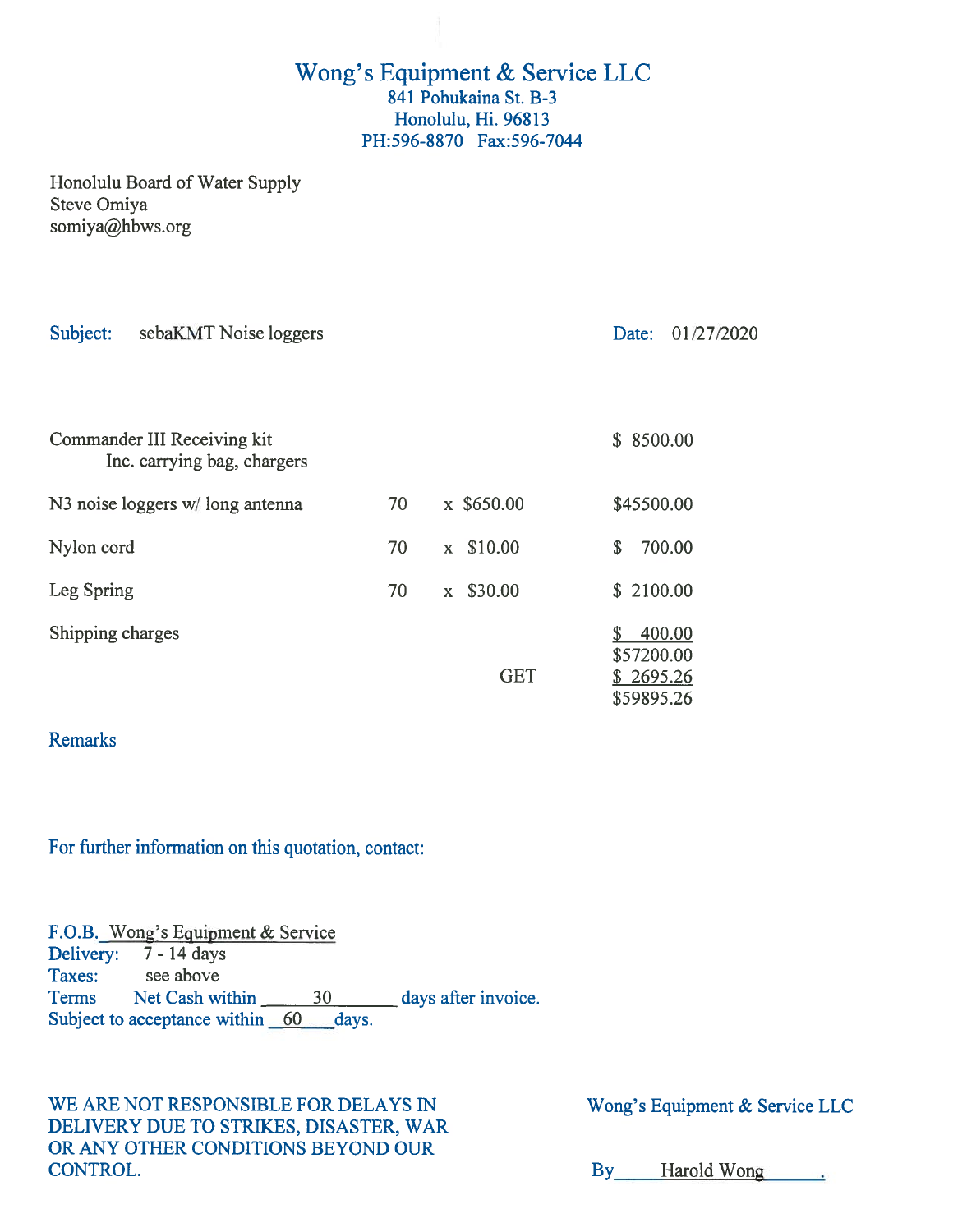# Wong's Equipment & Service LLC 841 Pohukaina St. B-3 Honolulu, Hi. 96813 PH:596-8870 Fax:596-7044

Honolulu Board of Water Supply Steve Omiya somiya@hbws.org

| Subject:<br>sebaKMT Noise loggers                          |    |                         | 01/27/2020<br>Date:                             |
|------------------------------------------------------------|----|-------------------------|-------------------------------------------------|
|                                                            |    |                         |                                                 |
| Commander III Receiving kit<br>Inc. carrying bag, chargers |    |                         | \$8500.00                                       |
| N3 noise loggers w/long antenna                            | 70 | x \$650.00              | \$45500.00                                      |
| Nylon cord                                                 | 70 | \$10.00<br>$\mathbf{x}$ | 700.00<br>\$                                    |
| Leg Spring                                                 | 70 | \$30.00<br>$\mathbf{X}$ | \$2100.00                                       |
| Shipping charges                                           |    | <b>GET</b>              | 400.00<br>\$57200.00<br>\$2695.26<br>\$59895.26 |

## Remarks

For further information on this quotation, contact:

F.O.B. Wong's Equipment & Service Delivery: 7 - 14 days Taxes: see above Terms Net Cash within 30 days after invoice. Subject to acceptance within 60 days.

WE ARE NOT RESPONSIBLE FOR DELAYS IN Wong's Equipment & Service LLC DELIVERY DUE TO STRIKES, DISASTER, WAR OR ANY OTHER CONDITIONS BEYOND OUR CONTROL. By Harold Wong .